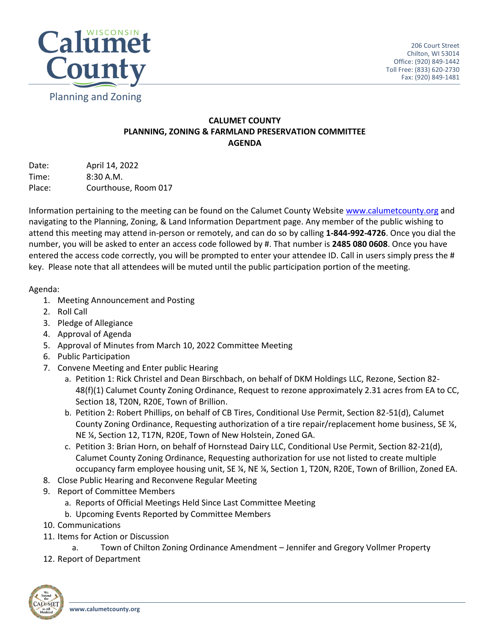

## **CALUMET COUNTY PLANNING, ZONING & FARMLAND PRESERVATION COMMITTEE AGENDA**

Date: April 14, 2022 Time: 8:30 A.M. Place: Courthouse, Room 017

Information pertaining to the meeting can be found on the Calumet County Website [www.calumetcounty.org](http://www.calumetcounty.org/) and navigating to the Planning, Zoning, & Land Information Department page. Any member of the public wishing to attend this meeting may attend in-person or remotely, and can do so by calling **1-844-992-4726**. Once you dial the number, you will be asked to enter an access code followed by #. That number is **2485 080 0608**. Once you have entered the access code correctly, you will be prompted to enter your attendee ID. Call in users simply press the # key. Please note that all attendees will be muted until the public participation portion of the meeting.

## Agenda:

- 1. Meeting Announcement and Posting
- 2. Roll Call
- 3. Pledge of Allegiance
- 4. Approval of Agenda
- 5. Approval of Minutes from March 10, 2022 Committee Meeting
- 6. Public Participation
- 7. Convene Meeting and Enter public Hearing
	- a. Petition 1: Rick Christel and Dean Birschbach, on behalf of DKM Holdings LLC, Rezone, Section 82- 48(f)(1) Calumet County Zoning Ordinance, Request to rezone approximately 2.31 acres from EA to CC, Section 18, T20N, R20E, Town of Brillion.
	- b. Petition 2: Robert Phillips, on behalf of CB Tires, Conditional Use Permit, Section 82-51(d), Calumet County Zoning Ordinance, Requesting authorization of a tire repair/replacement home business, SE ¼, NE ¼, Section 12, T17N, R20E, Town of New Holstein, Zoned GA.
	- c. Petition 3: Brian Horn, on behalf of Hornstead Dairy LLC, Conditional Use Permit, Section 82-21(d), Calumet County Zoning Ordinance, Requesting authorization for use not listed to create multiple occupancy farm employee housing unit, SE ¼, NE ¼, Section 1, T20N, R20E, Town of Brillion, Zoned EA.
- 8. Close Public Hearing and Reconvene Regular Meeting
- 9. Report of Committee Members
	- a. Reports of Official Meetings Held Since Last Committee Meeting
	- b. Upcoming Events Reported by Committee Members
- 10. Communications
- 11. Items for Action or Discussion
	- a. Town of Chilton Zoning Ordinance Amendment Jennifer and Gregory Vollmer Property
- 12. Report of Department